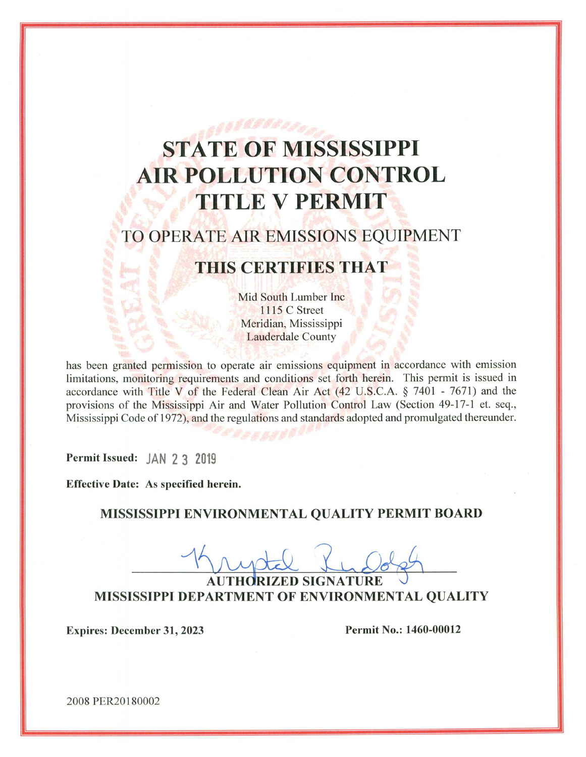# **STATE OF MISSISSIPPI AIR POLLUTION CONTROL** TITLE V PERMIT

## TO OPERATE AIR EMISSIONS EQUIPMENT

## THIS CERTIFIES THAT

Mid South Lumber Inc. **1115 C Street** Meridian, Mississippi **Lauderdale County** 

has been granted permission to operate air emissions equipment in accordance with emission limitations, monitoring requirements and conditions set forth herein. This permit is issued in accordance with Title V of the Federal Clean Air Act (42 U.S.C.A. § 7401 - 7671) and the provisions of the Mississippi Air and Water Pollution Control Law (Section 49-17-1 et. seq., Mississippi Code of 1972), and the regulations and standards adopted and promulgated thereunder.

Permit Issued: JAN 2 3 2019

**Effective Date: As specified herein.** 

MISSISSIPPI ENVIRONMENTAL QUALITY PERMIT BOARD

**AUTHORIZED SIGNATURE** MISSISSIPPI DEPARTMENT OF ENVIRONMENTAL QUALITY

**Expires: December 31, 2023** 

Permit No.: 1460-00012

2008 PER20180002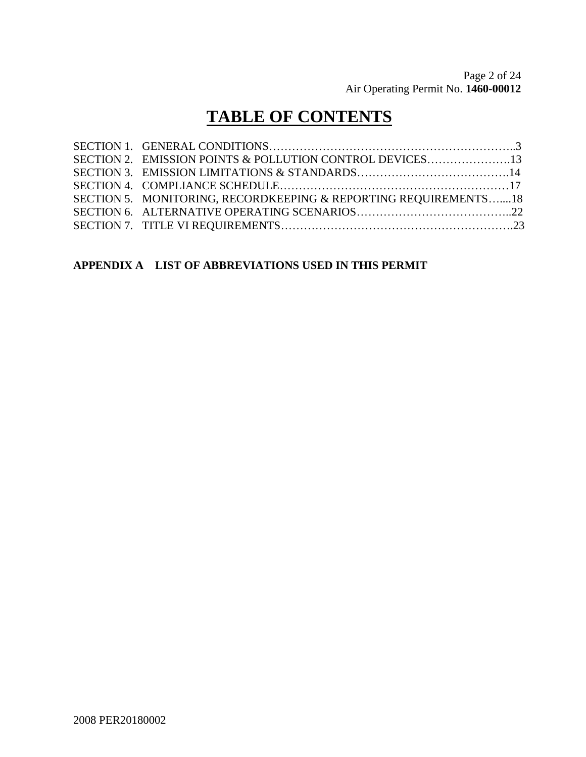## **TABLE OF CONTENTS**

| SECTION 5. MONITORING, RECORDKEEPING & REPORTING REOUIREMENTS18 |  |
|-----------------------------------------------------------------|--|
|                                                                 |  |
|                                                                 |  |
|                                                                 |  |

## **APPENDIX A LIST OF ABBREVIATIONS USED IN THIS PERMIT**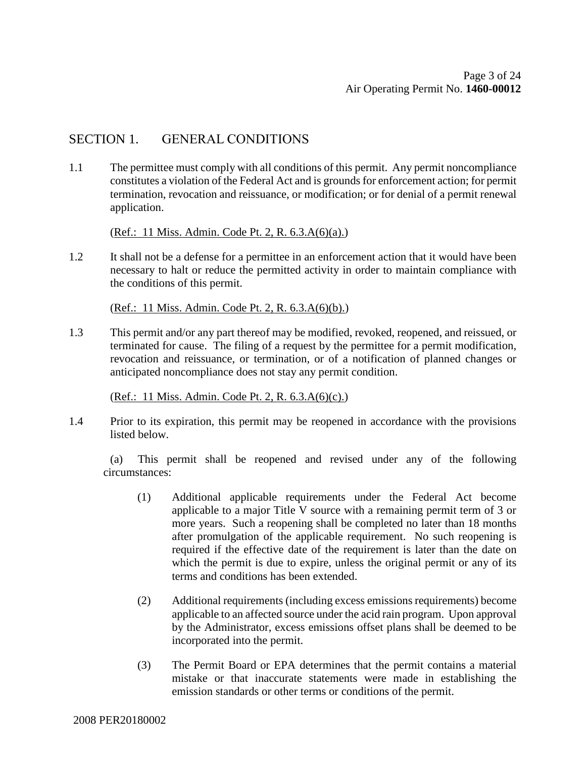## SECTION 1. GENERAL CONDITIONS

1.1 The permittee must comply with all conditions of this permit. Any permit noncompliance constitutes a violation of the Federal Act and is grounds for enforcement action; for permit termination, revocation and reissuance, or modification; or for denial of a permit renewal application.

(Ref.: 11 Miss. Admin. Code Pt. 2, R. 6.3.A(6)(a).)

1.2 It shall not be a defense for a permittee in an enforcement action that it would have been necessary to halt or reduce the permitted activity in order to maintain compliance with the conditions of this permit.

(Ref.: 11 Miss. Admin. Code Pt. 2, R. 6.3.A(6)(b).)

1.3 This permit and/or any part thereof may be modified, revoked, reopened, and reissued, or terminated for cause. The filing of a request by the permittee for a permit modification, revocation and reissuance, or termination, or of a notification of planned changes or anticipated noncompliance does not stay any permit condition.

(Ref.: 11 Miss. Admin. Code Pt. 2, R. 6.3.A(6)(c).)

1.4 Prior to its expiration, this permit may be reopened in accordance with the provisions listed below.

(a) This permit shall be reopened and revised under any of the following circumstances:

- (1) Additional applicable requirements under the Federal Act become applicable to a major Title V source with a remaining permit term of 3 or more years. Such a reopening shall be completed no later than 18 months after promulgation of the applicable requirement. No such reopening is required if the effective date of the requirement is later than the date on which the permit is due to expire, unless the original permit or any of its terms and conditions has been extended.
- (2) Additional requirements (including excess emissions requirements) become applicable to an affected source under the acid rain program. Upon approval by the Administrator, excess emissions offset plans shall be deemed to be incorporated into the permit.
- (3) The Permit Board or EPA determines that the permit contains a material mistake or that inaccurate statements were made in establishing the emission standards or other terms or conditions of the permit.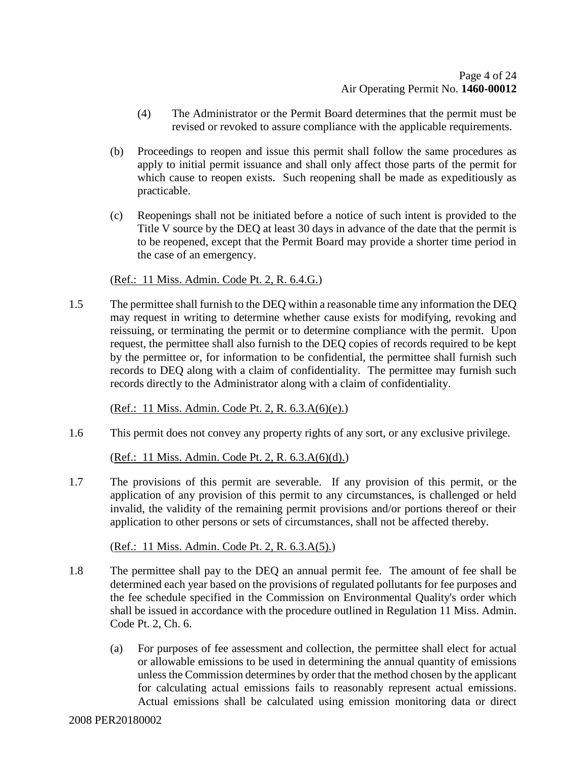- (4) The Administrator or the Permit Board determines that the permit must be revised or revoked to assure compliance with the applicable requirements.
- (b) Proceedings to reopen and issue this permit shall follow the same procedures as apply to initial permit issuance and shall only affect those parts of the permit for which cause to reopen exists. Such reopening shall be made as expeditiously as practicable.
- (c) Reopenings shall not be initiated before a notice of such intent is provided to the Title V source by the DEQ at least 30 days in advance of the date that the permit is to be reopened, except that the Permit Board may provide a shorter time period in the case of an emergency.

#### (Ref.: 11 Miss. Admin. Code Pt. 2, R. 6.4.G.)

1.5 The permittee shall furnish to the DEQ within a reasonable time any information the DEQ may request in writing to determine whether cause exists for modifying, revoking and reissuing, or terminating the permit or to determine compliance with the permit. Upon request, the permittee shall also furnish to the DEQ copies of records required to be kept by the permittee or, for information to be confidential, the permittee shall furnish such records to DEQ along with a claim of confidentiality. The permittee may furnish such records directly to the Administrator along with a claim of confidentiality.

(Ref.: 11 Miss. Admin. Code Pt. 2, R. 6.3.A(6)(e).)

1.6 This permit does not convey any property rights of any sort, or any exclusive privilege.

(Ref.: 11 Miss. Admin. Code Pt. 2, R. 6.3.A(6)(d).)

1.7 The provisions of this permit are severable. If any provision of this permit, or the application of any provision of this permit to any circumstances, is challenged or held invalid, the validity of the remaining permit provisions and/or portions thereof or their application to other persons or sets of circumstances, shall not be affected thereby.

(Ref.: 11 Miss. Admin. Code Pt. 2, R. 6.3.A(5).)

- 1.8 The permittee shall pay to the DEQ an annual permit fee. The amount of fee shall be determined each year based on the provisions of regulated pollutants for fee purposes and the fee schedule specified in the Commission on Environmental Quality's order which shall be issued in accordance with the procedure outlined in Regulation 11 Miss. Admin. Code Pt. 2, Ch. 6.
	- (a) For purposes of fee assessment and collection, the permittee shall elect for actual or allowable emissions to be used in determining the annual quantity of emissions unless the Commission determines by order that the method chosen by the applicant for calculating actual emissions fails to reasonably represent actual emissions. Actual emissions shall be calculated using emission monitoring data or direct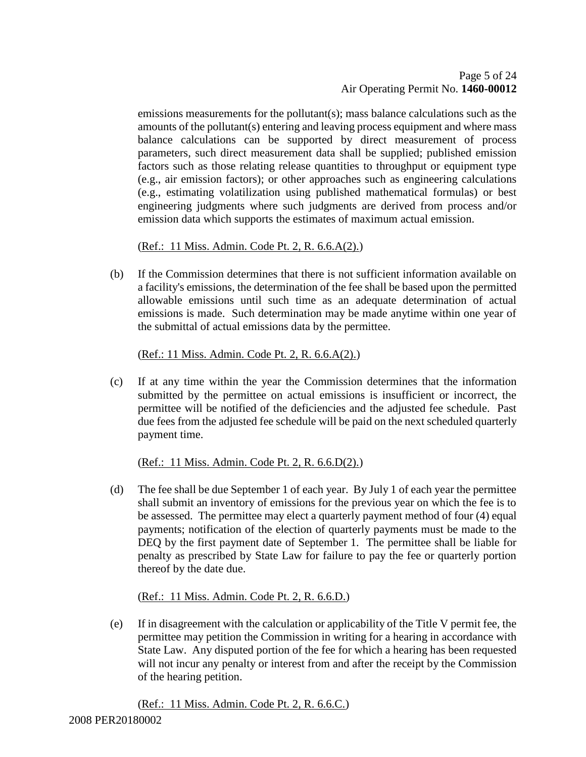emissions measurements for the pollutant(s); mass balance calculations such as the amounts of the pollutant(s) entering and leaving process equipment and where mass balance calculations can be supported by direct measurement of process parameters, such direct measurement data shall be supplied; published emission factors such as those relating release quantities to throughput or equipment type (e.g., air emission factors); or other approaches such as engineering calculations (e.g., estimating volatilization using published mathematical formulas) or best engineering judgments where such judgments are derived from process and/or emission data which supports the estimates of maximum actual emission.

### (Ref.: 11 Miss. Admin. Code Pt. 2, R. 6.6.A(2).)

(b) If the Commission determines that there is not sufficient information available on a facility's emissions, the determination of the fee shall be based upon the permitted allowable emissions until such time as an adequate determination of actual emissions is made. Such determination may be made anytime within one year of the submittal of actual emissions data by the permittee.

### (Ref.: 11 Miss. Admin. Code Pt. 2, R. 6.6.A(2).)

(c) If at any time within the year the Commission determines that the information submitted by the permittee on actual emissions is insufficient or incorrect, the permittee will be notified of the deficiencies and the adjusted fee schedule. Past due fees from the adjusted fee schedule will be paid on the next scheduled quarterly payment time.

## (Ref.: 11 Miss. Admin. Code Pt. 2, R. 6.6.D(2).)

(d) The fee shall be due September 1 of each year. By July 1 of each year the permittee shall submit an inventory of emissions for the previous year on which the fee is to be assessed. The permittee may elect a quarterly payment method of four (4) equal payments; notification of the election of quarterly payments must be made to the DEQ by the first payment date of September 1. The permittee shall be liable for penalty as prescribed by State Law for failure to pay the fee or quarterly portion thereof by the date due.

## (Ref.: 11 Miss. Admin. Code Pt. 2, R. 6.6.D.)

(e) If in disagreement with the calculation or applicability of the Title V permit fee, the permittee may petition the Commission in writing for a hearing in accordance with State Law. Any disputed portion of the fee for which a hearing has been requested will not incur any penalty or interest from and after the receipt by the Commission of the hearing petition.

(Ref.: 11 Miss. Admin. Code Pt. 2, R. 6.6.C.)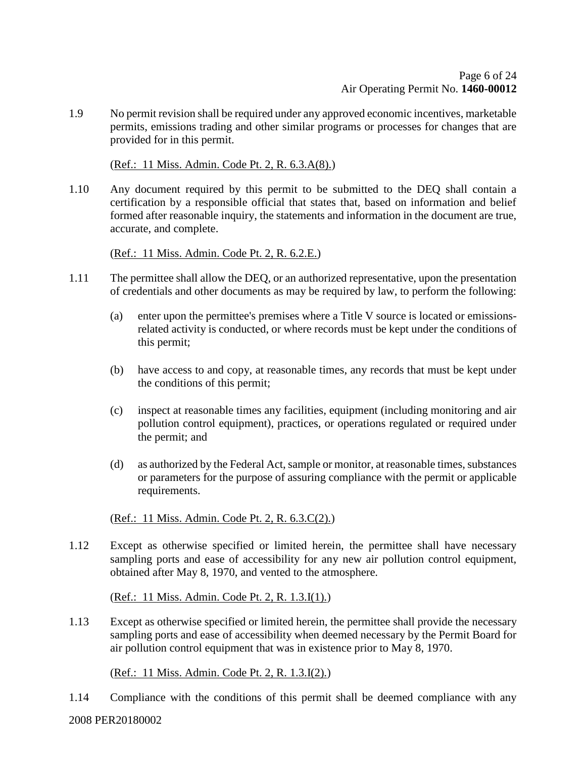1.9 No permit revision shall be required under any approved economic incentives, marketable permits, emissions trading and other similar programs or processes for changes that are provided for in this permit.

(Ref.: 11 Miss. Admin. Code Pt. 2, R. 6.3.A(8).)

1.10 Any document required by this permit to be submitted to the DEQ shall contain a certification by a responsible official that states that, based on information and belief formed after reasonable inquiry, the statements and information in the document are true, accurate, and complete.

(Ref.: 11 Miss. Admin. Code Pt. 2, R. 6.2.E.)

- 1.11 The permittee shall allow the DEQ, or an authorized representative, upon the presentation of credentials and other documents as may be required by law, to perform the following:
	- (a) enter upon the permittee's premises where a Title V source is located or emissionsrelated activity is conducted, or where records must be kept under the conditions of this permit;
	- (b) have access to and copy, at reasonable times, any records that must be kept under the conditions of this permit;
	- (c) inspect at reasonable times any facilities, equipment (including monitoring and air pollution control equipment), practices, or operations regulated or required under the permit; and
	- (d) as authorized by the Federal Act, sample or monitor, at reasonable times, substances or parameters for the purpose of assuring compliance with the permit or applicable requirements.

### (Ref.: 11 Miss. Admin. Code Pt. 2, R. 6.3.C(2).)

1.12 Except as otherwise specified or limited herein, the permittee shall have necessary sampling ports and ease of accessibility for any new air pollution control equipment, obtained after May 8, 1970, and vented to the atmosphere.

(Ref.: 11 Miss. Admin. Code Pt. 2, R. 1.3.I(1).)

1.13 Except as otherwise specified or limited herein, the permittee shall provide the necessary sampling ports and ease of accessibility when deemed necessary by the Permit Board for air pollution control equipment that was in existence prior to May 8, 1970.

(Ref.: 11 Miss. Admin. Code Pt. 2, R. 1.3.I(2).)

1.14 Compliance with the conditions of this permit shall be deemed compliance with any

2008 PER20180002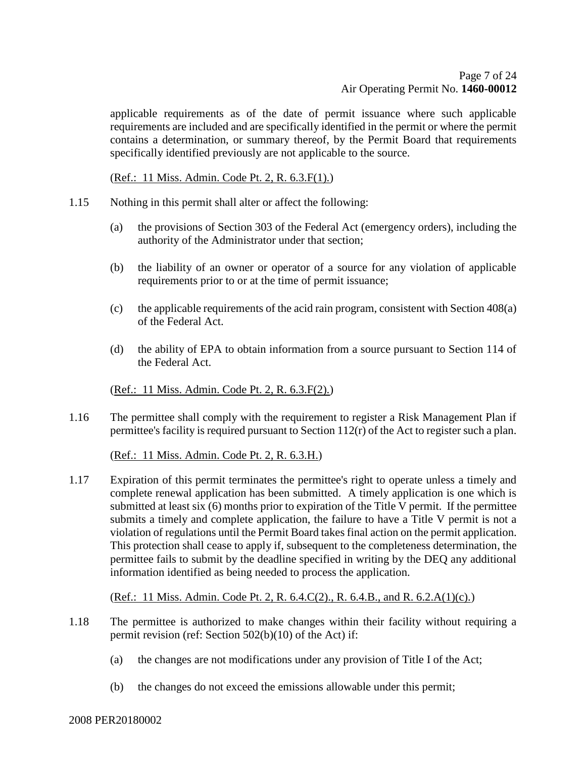applicable requirements as of the date of permit issuance where such applicable requirements are included and are specifically identified in the permit or where the permit contains a determination, or summary thereof, by the Permit Board that requirements specifically identified previously are not applicable to the source.

(Ref.: 11 Miss. Admin. Code Pt. 2, R. 6.3.F(1).)

- 1.15 Nothing in this permit shall alter or affect the following:
	- (a) the provisions of Section 303 of the Federal Act (emergency orders), including the authority of the Administrator under that section;
	- (b) the liability of an owner or operator of a source for any violation of applicable requirements prior to or at the time of permit issuance;
	- (c) the applicable requirements of the acid rain program, consistent with Section 408(a) of the Federal Act.
	- (d) the ability of EPA to obtain information from a source pursuant to Section 114 of the Federal Act.

(Ref.: 11 Miss. Admin. Code Pt. 2, R. 6.3.F(2).)

1.16 The permittee shall comply with the requirement to register a Risk Management Plan if permittee's facility is required pursuant to Section 112(r) of the Act to register such a plan.

(Ref.: 11 Miss. Admin. Code Pt. 2, R. 6.3.H.)

1.17 Expiration of this permit terminates the permittee's right to operate unless a timely and complete renewal application has been submitted. A timely application is one which is submitted at least six (6) months prior to expiration of the Title V permit. If the permittee submits a timely and complete application, the failure to have a Title V permit is not a violation of regulations until the Permit Board takes final action on the permit application. This protection shall cease to apply if, subsequent to the completeness determination, the permittee fails to submit by the deadline specified in writing by the DEQ any additional information identified as being needed to process the application.

(Ref.: 11 Miss. Admin. Code Pt. 2, R. 6.4.C(2)., R. 6.4.B., and R. 6.2.A(1)(c).)

- 1.18 The permittee is authorized to make changes within their facility without requiring a permit revision (ref: Section 502(b)(10) of the Act) if:
	- (a) the changes are not modifications under any provision of Title I of the Act;
	- (b) the changes do not exceed the emissions allowable under this permit;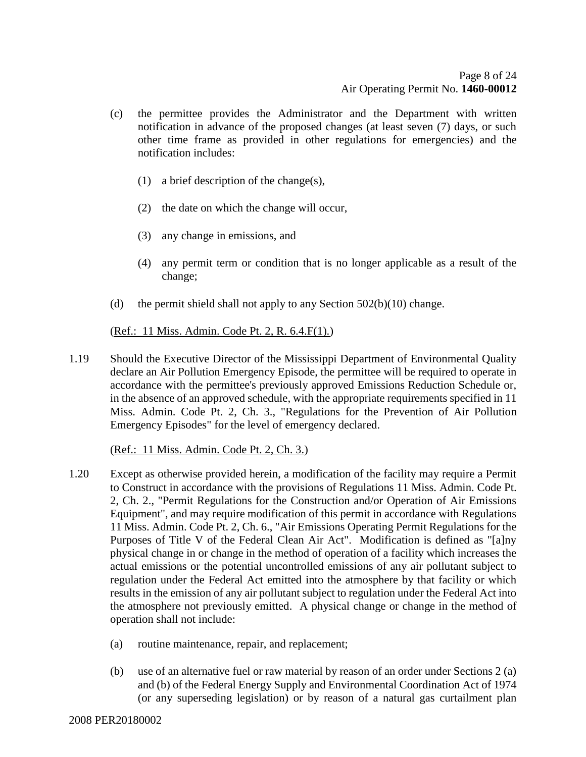- (c) the permittee provides the Administrator and the Department with written notification in advance of the proposed changes (at least seven (7) days, or such other time frame as provided in other regulations for emergencies) and the notification includes:
	- (1) a brief description of the change(s),
	- (2) the date on which the change will occur,
	- (3) any change in emissions, and
	- (4) any permit term or condition that is no longer applicable as a result of the change;
- (d) the permit shield shall not apply to any Section  $502(b)(10)$  change.

(Ref.: 11 Miss. Admin. Code Pt. 2, R. 6.4.F(1).)

1.19 Should the Executive Director of the Mississippi Department of Environmental Quality declare an Air Pollution Emergency Episode, the permittee will be required to operate in accordance with the permittee's previously approved Emissions Reduction Schedule or, in the absence of an approved schedule, with the appropriate requirements specified in 11 Miss. Admin. Code Pt. 2, Ch. 3., "Regulations for the Prevention of Air Pollution Emergency Episodes" for the level of emergency declared.

(Ref.: 11 Miss. Admin. Code Pt. 2, Ch. 3.)

- 1.20 Except as otherwise provided herein, a modification of the facility may require a Permit to Construct in accordance with the provisions of Regulations 11 Miss. Admin. Code Pt. 2, Ch. 2., "Permit Regulations for the Construction and/or Operation of Air Emissions Equipment", and may require modification of this permit in accordance with Regulations 11 Miss. Admin. Code Pt. 2, Ch. 6., "Air Emissions Operating Permit Regulations for the Purposes of Title V of the Federal Clean Air Act". Modification is defined as "[a]ny physical change in or change in the method of operation of a facility which increases the actual emissions or the potential uncontrolled emissions of any air pollutant subject to regulation under the Federal Act emitted into the atmosphere by that facility or which results in the emission of any air pollutant subject to regulation under the Federal Act into the atmosphere not previously emitted. A physical change or change in the method of operation shall not include:
	- (a) routine maintenance, repair, and replacement;
	- (b) use of an alternative fuel or raw material by reason of an order under Sections 2 (a) and (b) of the Federal Energy Supply and Environmental Coordination Act of 1974 (or any superseding legislation) or by reason of a natural gas curtailment plan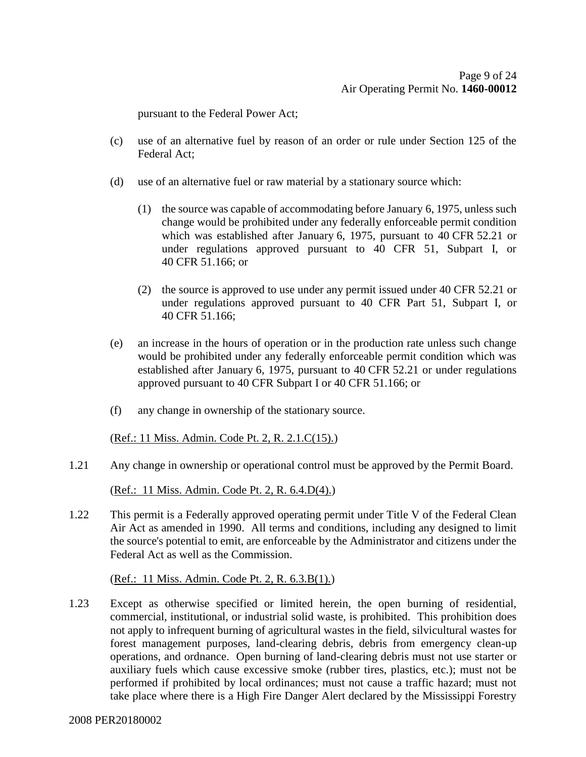pursuant to the Federal Power Act;

- (c) use of an alternative fuel by reason of an order or rule under Section 125 of the Federal Act;
- (d) use of an alternative fuel or raw material by a stationary source which:
	- (1) the source was capable of accommodating before January 6, 1975, unless such change would be prohibited under any federally enforceable permit condition which was established after January 6, 1975, pursuant to 40 CFR 52.21 or under regulations approved pursuant to 40 CFR 51, Subpart I, or 40 CFR 51.166; or
	- (2) the source is approved to use under any permit issued under 40 CFR 52.21 or under regulations approved pursuant to 40 CFR Part 51, Subpart I, or 40 CFR 51.166;
- (e) an increase in the hours of operation or in the production rate unless such change would be prohibited under any federally enforceable permit condition which was established after January 6, 1975, pursuant to 40 CFR 52.21 or under regulations approved pursuant to 40 CFR Subpart I or 40 CFR 51.166; or
- (f) any change in ownership of the stationary source.

(Ref.: 11 Miss. Admin. Code Pt. 2, R. 2.1.C(15).)

1.21 Any change in ownership or operational control must be approved by the Permit Board.

(Ref.: 11 Miss. Admin. Code Pt. 2, R. 6.4.D(4).)

1.22 This permit is a Federally approved operating permit under Title V of the Federal Clean Air Act as amended in 1990. All terms and conditions, including any designed to limit the source's potential to emit, are enforceable by the Administrator and citizens under the Federal Act as well as the Commission.

(Ref.: 11 Miss. Admin. Code Pt. 2, R. 6.3.B(1).)

1.23 Except as otherwise specified or limited herein, the open burning of residential, commercial, institutional, or industrial solid waste, is prohibited. This prohibition does not apply to infrequent burning of agricultural wastes in the field, silvicultural wastes for forest management purposes, land-clearing debris, debris from emergency clean-up operations, and ordnance. Open burning of land-clearing debris must not use starter or auxiliary fuels which cause excessive smoke (rubber tires, plastics, etc.); must not be performed if prohibited by local ordinances; must not cause a traffic hazard; must not take place where there is a High Fire Danger Alert declared by the Mississippi Forestry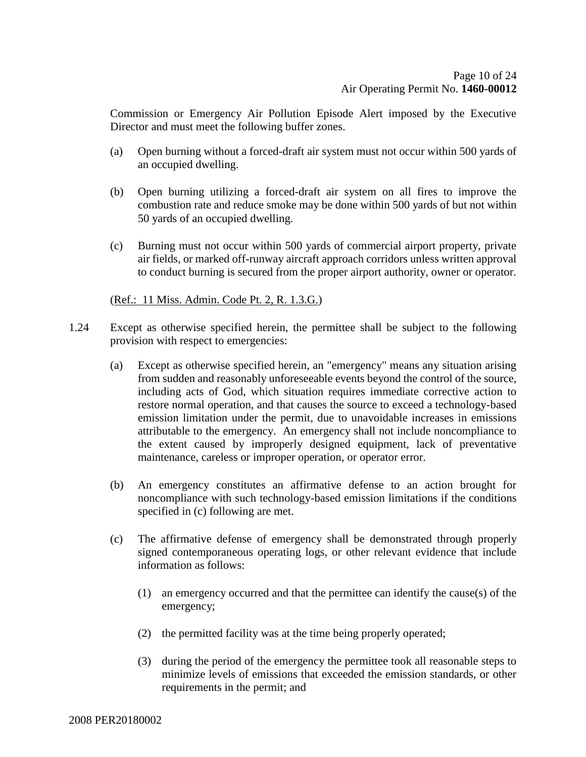Commission or Emergency Air Pollution Episode Alert imposed by the Executive Director and must meet the following buffer zones.

- (a) Open burning without a forced-draft air system must not occur within 500 yards of an occupied dwelling.
- (b) Open burning utilizing a forced-draft air system on all fires to improve the combustion rate and reduce smoke may be done within 500 yards of but not within 50 yards of an occupied dwelling.
- (c) Burning must not occur within 500 yards of commercial airport property, private air fields, or marked off-runway aircraft approach corridors unless written approval to conduct burning is secured from the proper airport authority, owner or operator.

### (Ref.: 11 Miss. Admin. Code Pt. 2, R. 1.3.G.)

- 1.24 Except as otherwise specified herein, the permittee shall be subject to the following provision with respect to emergencies:
	- (a) Except as otherwise specified herein, an "emergency" means any situation arising from sudden and reasonably unforeseeable events beyond the control of the source, including acts of God, which situation requires immediate corrective action to restore normal operation, and that causes the source to exceed a technology-based emission limitation under the permit, due to unavoidable increases in emissions attributable to the emergency. An emergency shall not include noncompliance to the extent caused by improperly designed equipment, lack of preventative maintenance, careless or improper operation, or operator error.
	- (b) An emergency constitutes an affirmative defense to an action brought for noncompliance with such technology-based emission limitations if the conditions specified in (c) following are met.
	- (c) The affirmative defense of emergency shall be demonstrated through properly signed contemporaneous operating logs, or other relevant evidence that include information as follows:
		- (1) an emergency occurred and that the permittee can identify the cause(s) of the emergency;
		- (2) the permitted facility was at the time being properly operated;
		- (3) during the period of the emergency the permittee took all reasonable steps to minimize levels of emissions that exceeded the emission standards, or other requirements in the permit; and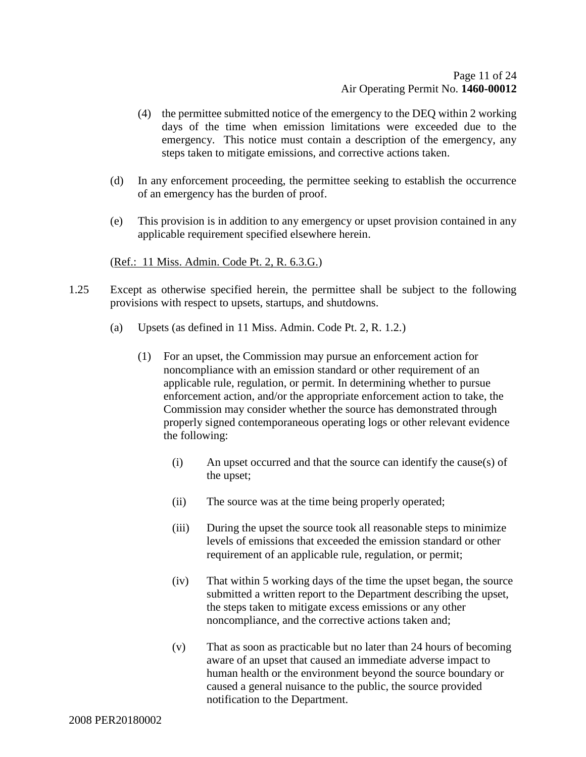- (4) the permittee submitted notice of the emergency to the DEQ within 2 working days of the time when emission limitations were exceeded due to the emergency. This notice must contain a description of the emergency, any steps taken to mitigate emissions, and corrective actions taken.
- (d) In any enforcement proceeding, the permittee seeking to establish the occurrence of an emergency has the burden of proof.
- (e) This provision is in addition to any emergency or upset provision contained in any applicable requirement specified elsewhere herein.

(Ref.: 11 Miss. Admin. Code Pt. 2, R. 6.3.G.)

- 1.25 Except as otherwise specified herein, the permittee shall be subject to the following provisions with respect to upsets, startups, and shutdowns.
	- (a) Upsets (as defined in 11 Miss. Admin. Code Pt. 2, R. 1.2.)
		- (1) For an upset, the Commission may pursue an enforcement action for noncompliance with an emission standard or other requirement of an applicable rule, regulation, or permit. In determining whether to pursue enforcement action, and/or the appropriate enforcement action to take, the Commission may consider whether the source has demonstrated through properly signed contemporaneous operating logs or other relevant evidence the following:
			- (i) An upset occurred and that the source can identify the cause(s) of the upset;
			- (ii) The source was at the time being properly operated;
			- (iii) During the upset the source took all reasonable steps to minimize levels of emissions that exceeded the emission standard or other requirement of an applicable rule, regulation, or permit;
			- (iv) That within 5 working days of the time the upset began, the source submitted a written report to the Department describing the upset, the steps taken to mitigate excess emissions or any other noncompliance, and the corrective actions taken and;
			- (v) That as soon as practicable but no later than 24 hours of becoming aware of an upset that caused an immediate adverse impact to human health or the environment beyond the source boundary or caused a general nuisance to the public, the source provided notification to the Department.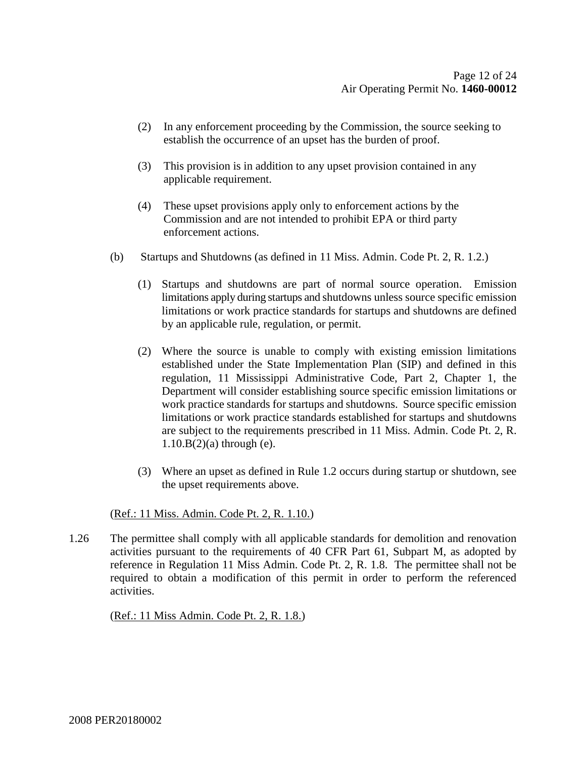- (2) In any enforcement proceeding by the Commission, the source seeking to establish the occurrence of an upset has the burden of proof.
- (3) This provision is in addition to any upset provision contained in any applicable requirement.
- (4) These upset provisions apply only to enforcement actions by the Commission and are not intended to prohibit EPA or third party enforcement actions.
- (b) Startups and Shutdowns (as defined in 11 Miss. Admin. Code Pt. 2, R. 1.2.)
	- (1) Startups and shutdowns are part of normal source operation. Emission limitations apply during startups and shutdowns unless source specific emission limitations or work practice standards for startups and shutdowns are defined by an applicable rule, regulation, or permit.
	- (2) Where the source is unable to comply with existing emission limitations established under the State Implementation Plan (SIP) and defined in this regulation, 11 Mississippi Administrative Code, Part 2, Chapter 1, the Department will consider establishing source specific emission limitations or work practice standards for startups and shutdowns. Source specific emission limitations or work practice standards established for startups and shutdowns are subject to the requirements prescribed in 11 Miss. Admin. Code Pt. 2, R.  $1.10.B(2)(a)$  through (e).
	- (3) Where an upset as defined in Rule 1.2 occurs during startup or shutdown, see the upset requirements above.

#### (Ref.: 11 Miss. Admin. Code Pt. 2, R. 1.10.)

1.26 The permittee shall comply with all applicable standards for demolition and renovation activities pursuant to the requirements of 40 CFR Part 61, Subpart M, as adopted by reference in Regulation 11 Miss Admin. Code Pt. 2, R. 1.8. The permittee shall not be required to obtain a modification of this permit in order to perform the referenced activities.

(Ref.: 11 Miss Admin. Code Pt. 2, R. 1.8.)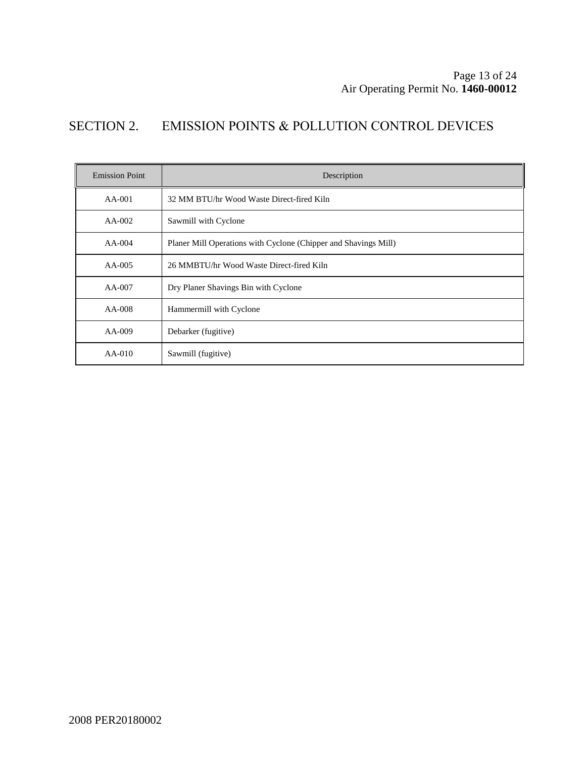## SECTION 2. EMISSION POINTS & POLLUTION CONTROL DEVICES

| <b>Emission Point</b> | Description                                                     |  |  |
|-----------------------|-----------------------------------------------------------------|--|--|
| $AA-001$              | 32 MM BTU/hr Wood Waste Direct-fired Kiln                       |  |  |
| $AA-002$              | Sawmill with Cyclone                                            |  |  |
| $AA-004$              | Planer Mill Operations with Cyclone (Chipper and Shavings Mill) |  |  |
| $AA-005$              | 26 MMBTU/hr Wood Waste Direct-fired Kiln                        |  |  |
| AA-007                | Dry Planer Shavings Bin with Cyclone                            |  |  |
| AA-008                | Hammermill with Cyclone                                         |  |  |
| AA-009                | Debarker (fugitive)                                             |  |  |
| $AA-010$              | Sawmill (fugitive)                                              |  |  |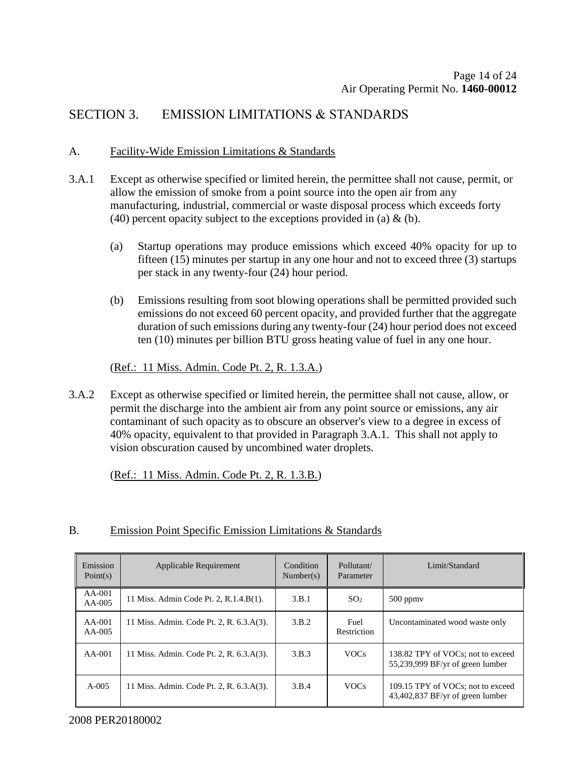## SECTION 3. EMISSION LIMITATIONS & STANDARDS

#### A. Facility-Wide Emission Limitations & Standards

- 3.A.1 Except as otherwise specified or limited herein, the permittee shall not cause, permit, or allow the emission of smoke from a point source into the open air from any manufacturing, industrial, commercial or waste disposal process which exceeds forty (40) percent opacity subject to the exceptions provided in (a)  $\&$  (b).
	- (a) Startup operations may produce emissions which exceed 40% opacity for up to fifteen (15) minutes per startup in any one hour and not to exceed three (3) startups per stack in any twenty-four (24) hour period.
	- (b) Emissions resulting from soot blowing operations shall be permitted provided such emissions do not exceed 60 percent opacity, and provided further that the aggregate duration of such emissions during any twenty-four (24) hour period does not exceed ten (10) minutes per billion BTU gross heating value of fuel in any one hour.

(Ref.: 11 Miss. Admin. Code Pt. 2, R. 1.3.A.)

3.A.2 Except as otherwise specified or limited herein, the permittee shall not cause, allow, or permit the discharge into the ambient air from any point source or emissions, any air contaminant of such opacity as to obscure an observer's view to a degree in excess of 40% opacity, equivalent to that provided in Paragraph 3.A.1. This shall not apply to vision obscuration caused by uncombined water droplets.

(Ref.: 11 Miss. Admin. Code Pt. 2, R. 1.3.B.)

#### B. Emission Point Specific Emission Limitations & Standards

| Emission<br>Point(s) | Applicable Requirement                   | Condition<br>Number(s) | Pollutant/<br>Parameter | Limit/Standard                                                        |
|----------------------|------------------------------------------|------------------------|-------------------------|-----------------------------------------------------------------------|
| AA-001<br>$AA-005$   | 11 Miss. Admin Code Pt. 2, R.1.4.B(1).   | 3.B.1                  | SO <sub>2</sub>         | $500$ ppmy                                                            |
| $AA-001$<br>$AA-005$ | 11 Miss. Admin. Code Pt. 2, R. 6.3.A(3). | 3.B.2                  | Fuel<br>Restriction     | Uncontaminated wood waste only                                        |
| $AA-001$             | 11 Miss. Admin. Code Pt. 2, R. 6.3.A(3). | 3.B.3                  | <b>VOCs</b>             | 138.82 TPY of VOCs: not to exceed<br>55,239,999 BF/yr of green lumber |
| $A - 005$            | 11 Miss. Admin. Code Pt. 2, R. 6.3.A(3). | 3.B.4                  | <b>VOCs</b>             | 109.15 TPY of VOCs; not to exceed<br>43,402,837 BF/yr of green lumber |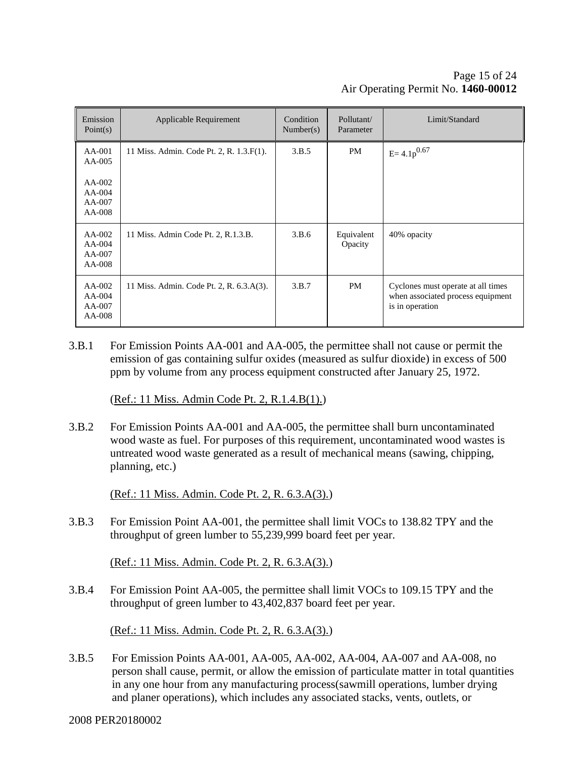| Emission<br>Point(s)                                             | Applicable Requirement                   | Condition<br>Number(s) | Pollutant/<br>Parameter | Limit/Standard                                                                             |
|------------------------------------------------------------------|------------------------------------------|------------------------|-------------------------|--------------------------------------------------------------------------------------------|
| $AA-001$<br>AA-005<br>$AA-002$<br>$AA-004$<br>$AA-007$<br>AA-008 | 11 Miss. Admin. Code Pt. 2, R. 1.3.F(1). | 3.B.5                  | <b>PM</b>               | $E = 4.1p^{0.67}$                                                                          |
| $AA-002$<br>$AA-004$<br>$AA-007$<br>AA-008                       | 11 Miss. Admin Code Pt. 2, R.1.3.B.      | 3.B.6                  | Equivalent<br>Opacity   | 40% opacity                                                                                |
| $AA-002$<br>$AA-004$<br>$AA-007$<br>AA-008                       | 11 Miss. Admin. Code Pt. 2, R. 6.3.A(3). | 3.B.7                  | PM                      | Cyclones must operate at all times<br>when associated process equipment<br>is in operation |

3.B.1 For Emission Points AA-001 and AA-005, the permittee shall not cause or permit the emission of gas containing sulfur oxides (measured as sulfur dioxide) in excess of 500 ppm by volume from any process equipment constructed after January 25, 1972.

(Ref.: 11 Miss. Admin Code Pt. 2, R.1.4.B(1).)

3.B.2 For Emission Points AA-001 and AA-005, the permittee shall burn uncontaminated wood waste as fuel. For purposes of this requirement, uncontaminated wood wastes is untreated wood waste generated as a result of mechanical means (sawing, chipping, planning, etc.)

(Ref.: 11 Miss. Admin. Code Pt. 2, R. 6.3.A(3).)

3.B.3 For Emission Point AA-001, the permittee shall limit VOCs to 138.82 TPY and the throughput of green lumber to 55,239,999 board feet per year.

(Ref.: 11 Miss. Admin. Code Pt. 2, R. 6.3.A(3).)

3.B.4 For Emission Point AA-005, the permittee shall limit VOCs to 109.15 TPY and the throughput of green lumber to 43,402,837 board feet per year.

(Ref.: 11 Miss. Admin. Code Pt. 2, R. 6.3.A(3).)

3.B.5 For Emission Points AA-001, AA-005, AA-002, AA-004, AA-007 and AA-008, no person shall cause, permit, or allow the emission of particulate matter in total quantities in any one hour from any manufacturing process(sawmill operations, lumber drying and planer operations), which includes any associated stacks, vents, outlets, or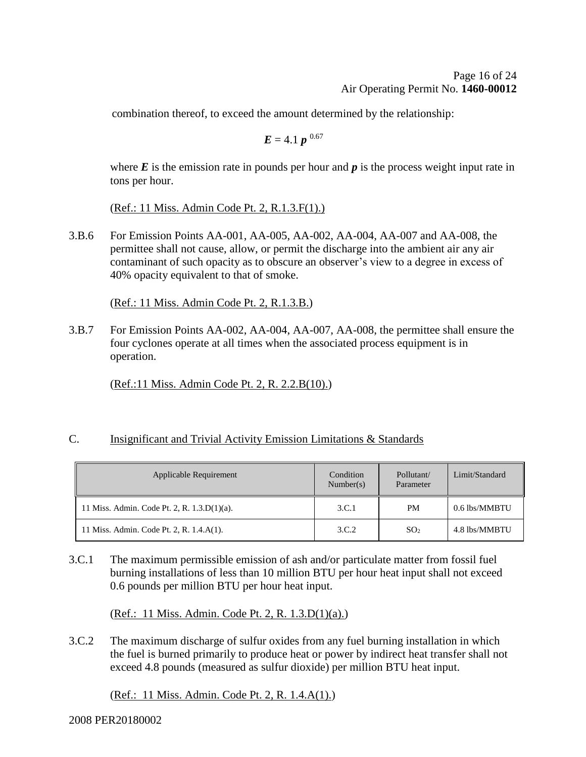combination thereof, to exceed the amount determined by the relationship:

$$
\boldsymbol{E}=4.1~\boldsymbol{p}^{-0.67}
$$

where  $E$  is the emission rate in pounds per hour and  $p$  is the process weight input rate in tons per hour.

(Ref.: 11 Miss. Admin Code Pt. 2, R.1.3.F(1).)

3.B.6 For Emission Points AA-001, AA-005, AA-002, AA-004, AA-007 and AA-008, the permittee shall not cause, allow, or permit the discharge into the ambient air any air contaminant of such opacity as to obscure an observer's view to a degree in excess of 40% opacity equivalent to that of smoke.

(Ref.: 11 Miss. Admin Code Pt. 2, R.1.3.B.)

3.B.7 For Emission Points AA-002, AA-004, AA-007, AA-008, the permittee shall ensure the four cyclones operate at all times when the associated process equipment is in operation.

(Ref.:11 Miss. Admin Code Pt. 2, R. 2.2.B(10).)

### C. Insignificant and Trivial Activity Emission Limitations & Standards

| Applicable Requirement                         | Condition<br>Number(s) | Pollutant/<br>Parameter | Limit/Standard |
|------------------------------------------------|------------------------|-------------------------|----------------|
| 11 Miss. Admin. Code Pt. 2, R. $1.3.D(1)(a)$ . | 3.C.1                  | <b>PM</b>               | 0.6 lbs/MMBTU  |
| 11 Miss. Admin. Code Pt. 2, R. 1.4.A(1).       | 3.C.2                  | SO <sub>2</sub>         | 4.8 lbs/MMBTU  |

3.C.1 The maximum permissible emission of ash and/or particulate matter from fossil fuel burning installations of less than 10 million BTU per hour heat input shall not exceed 0.6 pounds per million BTU per hour heat input.

(Ref.: 11 Miss. Admin. Code Pt. 2, R. 1.3.D(1)(a).)

3.C.2 The maximum discharge of sulfur oxides from any fuel burning installation in which the fuel is burned primarily to produce heat or power by indirect heat transfer shall not exceed 4.8 pounds (measured as sulfur dioxide) per million BTU heat input.

(Ref.: 11 Miss. Admin. Code Pt. 2, R. 1.4.A(1).)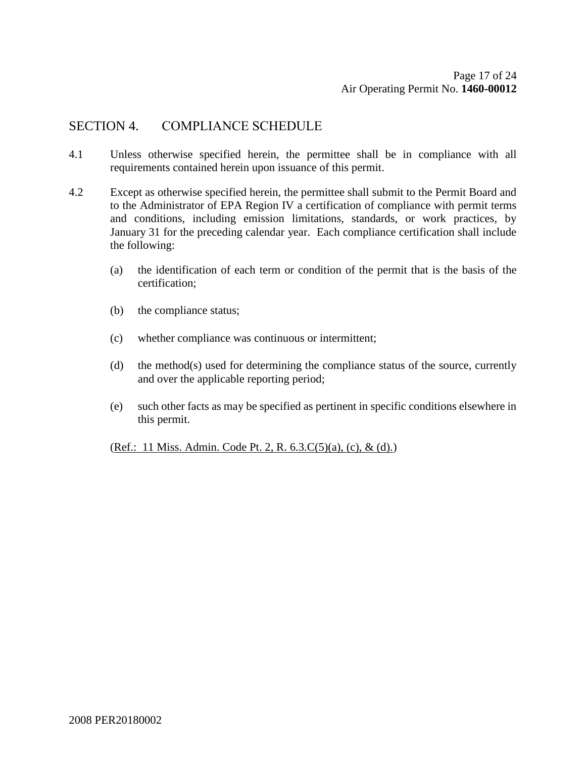## SECTION 4. COMPLIANCE SCHEDULE

- 4.1 Unless otherwise specified herein, the permittee shall be in compliance with all requirements contained herein upon issuance of this permit.
- 4.2 Except as otherwise specified herein, the permittee shall submit to the Permit Board and to the Administrator of EPA Region IV a certification of compliance with permit terms and conditions, including emission limitations, standards, or work practices, by January 31 for the preceding calendar year. Each compliance certification shall include the following:
	- (a) the identification of each term or condition of the permit that is the basis of the certification;
	- (b) the compliance status;
	- (c) whether compliance was continuous or intermittent;
	- (d) the method(s) used for determining the compliance status of the source, currently and over the applicable reporting period;
	- (e) such other facts as may be specified as pertinent in specific conditions elsewhere in this permit.

(Ref.: 11 Miss. Admin. Code Pt. 2, R. 6.3.C(5)(a), (c), & (d).)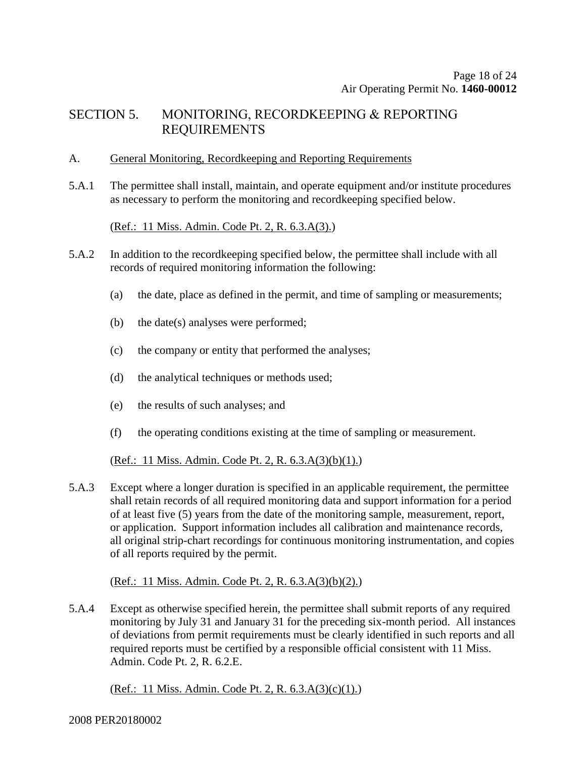## SECTION 5. MONITORING, RECORDKEEPING & REPORTING REQUIREMENTS

#### A. General Monitoring, Recordkeeping and Reporting Requirements

5.A.1 The permittee shall install, maintain, and operate equipment and/or institute procedures as necessary to perform the monitoring and recordkeeping specified below.

(Ref.: 11 Miss. Admin. Code Pt. 2, R. 6.3.A(3).)

- 5.A.2 In addition to the recordkeeping specified below, the permittee shall include with all records of required monitoring information the following:
	- (a) the date, place as defined in the permit, and time of sampling or measurements;
	- (b) the date(s) analyses were performed;
	- (c) the company or entity that performed the analyses;
	- (d) the analytical techniques or methods used;
	- (e) the results of such analyses; and
	- (f) the operating conditions existing at the time of sampling or measurement.

(Ref.: 11 Miss. Admin. Code Pt. 2, R. 6.3.A(3)(b)(1).)

5.A.3 Except where a longer duration is specified in an applicable requirement, the permittee shall retain records of all required monitoring data and support information for a period of at least five (5) years from the date of the monitoring sample, measurement, report, or application. Support information includes all calibration and maintenance records, all original strip-chart recordings for continuous monitoring instrumentation, and copies of all reports required by the permit.

(Ref.: 11 Miss. Admin. Code Pt. 2, R. 6.3.A(3)(b)(2).)

5.A.4 Except as otherwise specified herein, the permittee shall submit reports of any required monitoring by July 31 and January 31 for the preceding six-month period. All instances of deviations from permit requirements must be clearly identified in such reports and all required reports must be certified by a responsible official consistent with 11 Miss. Admin. Code Pt. 2, R. 6.2.E.

(Ref.: 11 Miss. Admin. Code Pt. 2, R. 6.3.A(3)(c)(1).)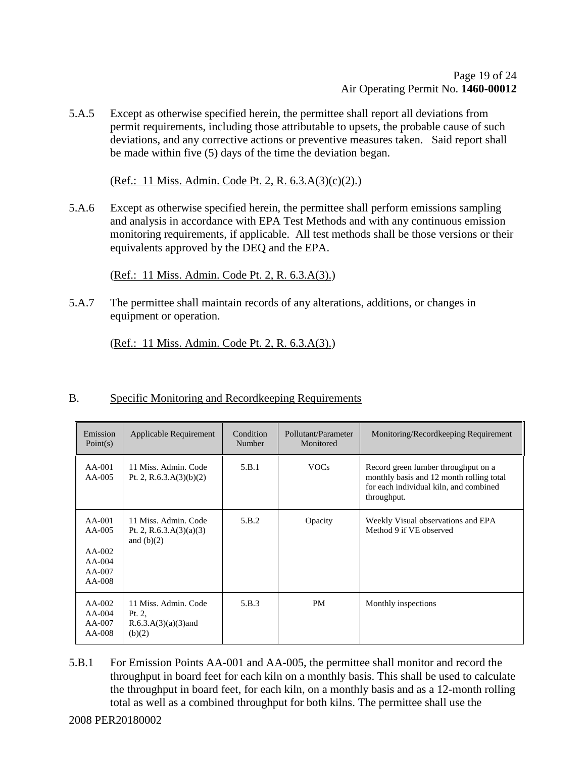5.A.5 Except as otherwise specified herein, the permittee shall report all deviations from permit requirements, including those attributable to upsets, the probable cause of such deviations, and any corrective actions or preventive measures taken. Said report shall be made within five (5) days of the time the deviation began.

(Ref.: 11 Miss. Admin. Code Pt. 2, R. 6.3.A(3)(c)(2).)

5.A.6 Except as otherwise specified herein, the permittee shall perform emissions sampling and analysis in accordance with EPA Test Methods and with any continuous emission monitoring requirements, if applicable. All test methods shall be those versions or their equivalents approved by the DEQ and the EPA.

(Ref.: 11 Miss. Admin. Code Pt. 2, R. 6.3.A(3).)

5.A.7 The permittee shall maintain records of any alterations, additions, or changes in equipment or operation.

(Ref.: 11 Miss. Admin. Code Pt. 2, R. 6.3.A(3).)

| Emission<br>Point(s)                                             | Applicable Requirement                                             | Condition<br>Number | Pollutant/Parameter<br>Monitored | Monitoring/Recordkeeping Requirement                                                                                                     |
|------------------------------------------------------------------|--------------------------------------------------------------------|---------------------|----------------------------------|------------------------------------------------------------------------------------------------------------------------------------------|
| $AA-001$<br>$AA-005$                                             | 11 Miss. Admin. Code<br>Pt. 2, R.6.3.A $(3)(b)(2)$                 | 5.B.1               | <b>VOCs</b>                      | Record green lumber throughput on a<br>monthly basis and 12 month rolling total<br>for each individual kiln, and combined<br>throughput. |
| $AA-001$<br>AA-005<br>$AA-002$<br>$AA-004$<br>$AA-007$<br>AA-008 | 11 Miss. Admin. Code<br>Pt. 2, R.6.3.A $(3)(a)(3)$<br>and $(b)(2)$ | 5.B.2               | Opacity                          | Weekly Visual observations and EPA<br>Method 9 if VE observed                                                                            |
| $AA-002$<br>$AA-004$<br>AA-007<br>AA-008                         | 11 Miss. Admin. Code<br>Pt. 2.<br>$R.6.3.A(3)(a)(3)$ and<br>(b)(2) | 5.B.3               | <b>PM</b>                        | Monthly inspections                                                                                                                      |

### B. Specific Monitoring and Recordkeeping Requirements

5.B.1 For Emission Points AA-001 and AA-005, the permittee shall monitor and record the throughput in board feet for each kiln on a monthly basis. This shall be used to calculate the throughput in board feet, for each kiln, on a monthly basis and as a 12-month rolling total as well as a combined throughput for both kilns. The permittee shall use the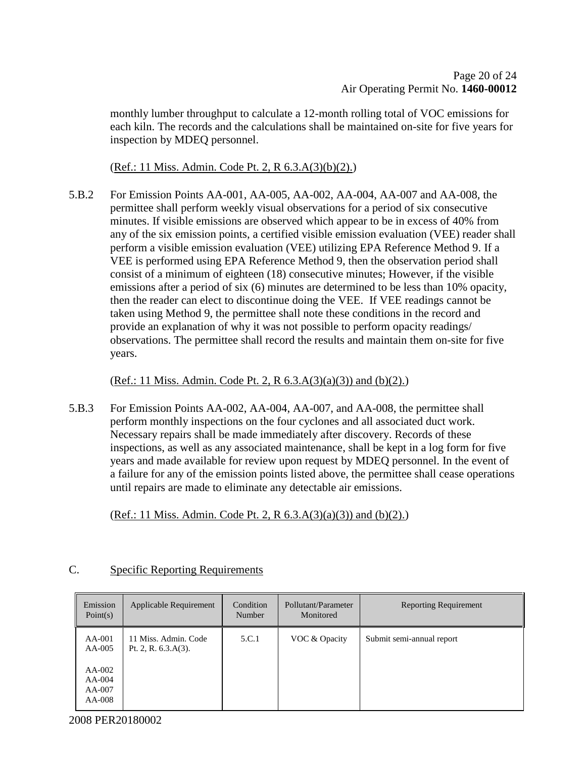monthly lumber throughput to calculate a 12-month rolling total of VOC emissions for each kiln. The records and the calculations shall be maintained on-site for five years for inspection by MDEQ personnel.

(Ref.: 11 Miss. Admin. Code Pt. 2, R 6.3.A(3)(b)(2).)

5.B.2 For Emission Points AA-001, AA-005, AA-002, AA-004, AA-007 and AA-008, the permittee shall perform weekly visual observations for a period of six consecutive minutes. If visible emissions are observed which appear to be in excess of 40% from any of the six emission points, a certified visible emission evaluation (VEE) reader shall perform a visible emission evaluation (VEE) utilizing EPA Reference Method 9. If a VEE is performed using EPA Reference Method 9, then the observation period shall consist of a minimum of eighteen (18) consecutive minutes; However, if the visible emissions after a period of six (6) minutes are determined to be less than 10% opacity, then the reader can elect to discontinue doing the VEE. If VEE readings cannot be taken using Method 9, the permittee shall note these conditions in the record and provide an explanation of why it was not possible to perform opacity readings/ observations. The permittee shall record the results and maintain them on-site for five years.

(Ref.: 11 Miss. Admin. Code Pt. 2, R  $(6.3.A(3)(a)(3))$  and  $(b)(2)$ .)

5.B.3 For Emission Points AA-002, AA-004, AA-007, and AA-008, the permittee shall perform monthly inspections on the four cyclones and all associated duct work. Necessary repairs shall be made immediately after discovery. Records of these inspections, as well as any associated maintenance, shall be kept in a log form for five years and made available for review upon request by MDEQ personnel. In the event of a failure for any of the emission points listed above, the permittee shall cease operations until repairs are made to eliminate any detectable air emissions.

(Ref.: 11 Miss. Admin. Code Pt. 2, R  $6.3.A(3)(a)(3)$ ) and (b)(2).)

| Emission<br>Point $(s)$                                          | Applicable Requirement                         | Condition<br>Number | Pollutant/Parameter<br>Monitored | <b>Reporting Requirement</b> |
|------------------------------------------------------------------|------------------------------------------------|---------------------|----------------------------------|------------------------------|
| $AA-001$<br>$AA-005$<br>$AA-002$<br>$AA-004$<br>AA-007<br>AA-008 | 11 Miss. Admin. Code<br>Pt. 2, R. $6.3.A(3)$ . | 5.C.1               | VOC & Opacity                    | Submit semi-annual report    |

### C. Specific Reporting Requirements

2008 PER20180002

 $\mathbf{r}$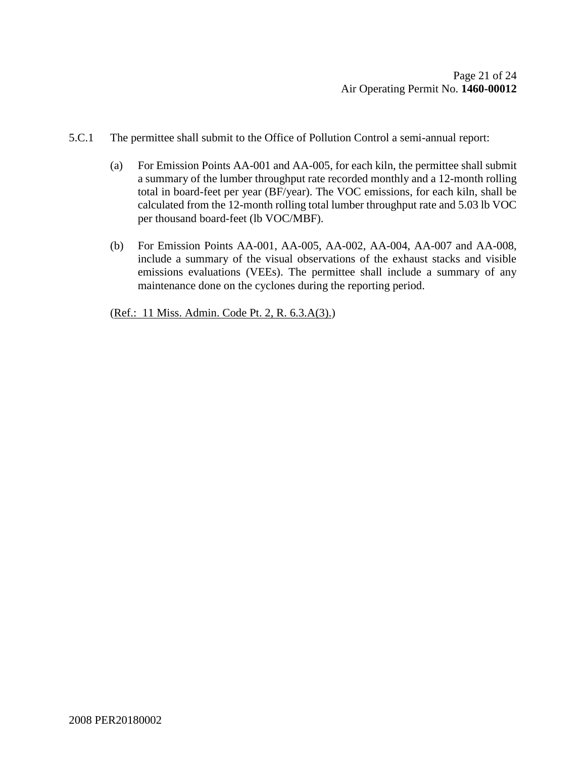- 5.C.1 The permittee shall submit to the Office of Pollution Control a semi-annual report:
	- (a) For Emission Points AA-001 and AA-005, for each kiln, the permittee shall submit a summary of the lumber throughput rate recorded monthly and a 12-month rolling total in board-feet per year (BF/year). The VOC emissions, for each kiln, shall be calculated from the 12-month rolling total lumber throughput rate and 5.03 lb VOC per thousand board-feet (lb VOC/MBF).
	- (b) For Emission Points AA-001, AA-005, AA-002, AA-004, AA-007 and AA-008, include a summary of the visual observations of the exhaust stacks and visible emissions evaluations (VEEs). The permittee shall include a summary of any maintenance done on the cyclones during the reporting period.

(Ref.: 11 Miss. Admin. Code Pt. 2, R. 6.3.A(3).)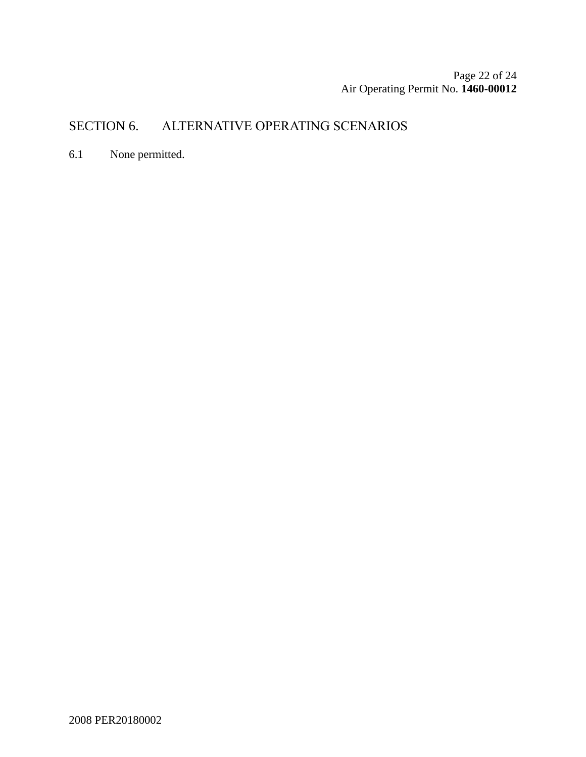Page 22 of [24](#page-23-0) Air Operating Permit No. **1460-00012**

## SECTION 6. ALTERNATIVE OPERATING SCENARIOS

6.1 None permitted.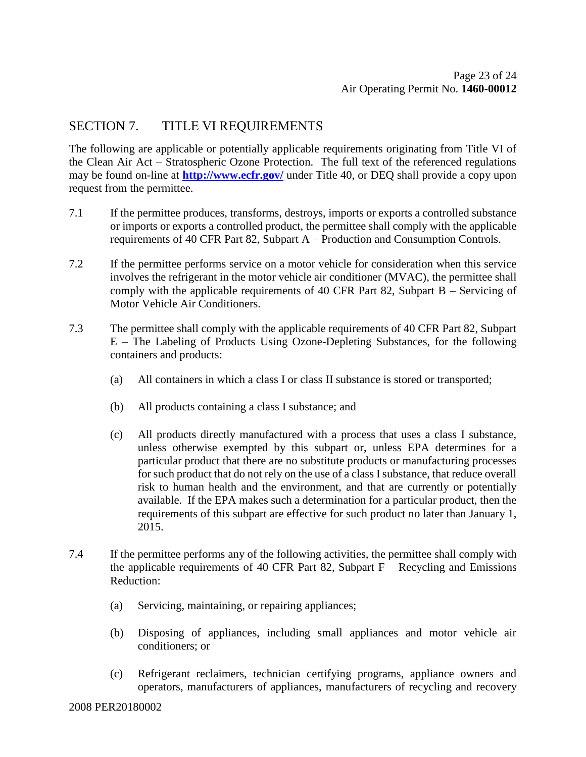## SECTION 7. TITLE VI REQUIREMENTS

The following are applicable or potentially applicable requirements originating from Title VI of the Clean Air Act – Stratospheric Ozone Protection. The full text of the referenced regulations may be found on-line at **<http://www.ecfr.gov/>** under Title 40, or DEQ shall provide a copy upon request from the permittee.

- 7.1 If the permittee produces, transforms, destroys, imports or exports a controlled substance or imports or exports a controlled product, the permittee shall comply with the applicable requirements of 40 CFR Part 82, Subpart A – Production and Consumption Controls.
- 7.2 If the permittee performs service on a motor vehicle for consideration when this service involves the refrigerant in the motor vehicle air conditioner (MVAC), the permittee shall comply with the applicable requirements of 40 CFR Part 82, Subpart B – Servicing of Motor Vehicle Air Conditioners.
- 7.3 The permittee shall comply with the applicable requirements of 40 CFR Part 82, Subpart E – The Labeling of Products Using Ozone-Depleting Substances, for the following containers and products:
	- (a) All containers in which a class I or class II substance is stored or transported;
	- (b) All products containing a class I substance; and
	- (c) All products directly manufactured with a process that uses a class I substance, unless otherwise exempted by this subpart or, unless EPA determines for a particular product that there are no substitute products or manufacturing processes for such product that do not rely on the use of a class I substance, that reduce overall risk to human health and the environment, and that are currently or potentially available. If the EPA makes such a determination for a particular product, then the requirements of this subpart are effective for such product no later than January 1, 2015.
- 7.4 If the permittee performs any of the following activities, the permittee shall comply with the applicable requirements of 40 CFR Part 82, Subpart  $F -$  Recycling and Emissions Reduction:
	- (a) Servicing, maintaining, or repairing appliances;
	- (b) Disposing of appliances, including small appliances and motor vehicle air conditioners; or
	- (c) Refrigerant reclaimers, technician certifying programs, appliance owners and operators, manufacturers of appliances, manufacturers of recycling and recovery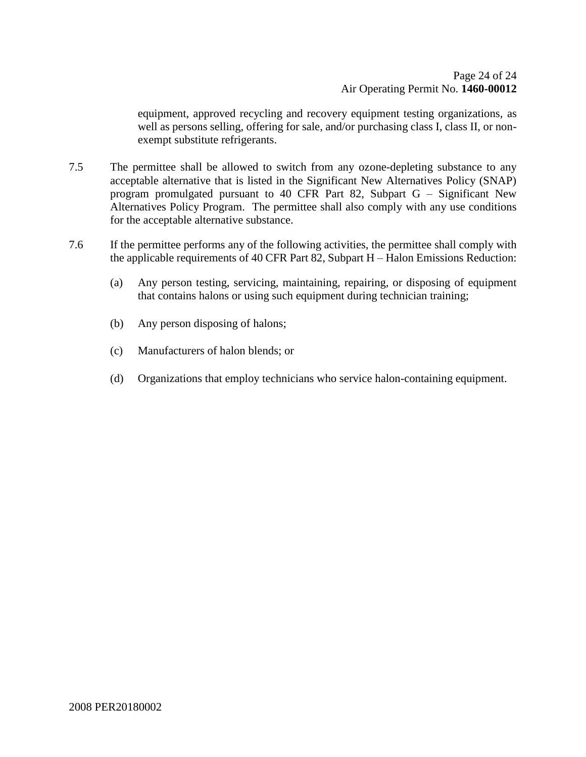equipment, approved recycling and recovery equipment testing organizations, as well as persons selling, offering for sale, and/or purchasing class I, class II, or nonexempt substitute refrigerants.

- 7.5 The permittee shall be allowed to switch from any ozone-depleting substance to any acceptable alternative that is listed in the Significant New Alternatives Policy (SNAP) program promulgated pursuant to 40 CFR Part 82, Subpart G – Significant New Alternatives Policy Program. The permittee shall also comply with any use conditions for the acceptable alternative substance.
- <span id="page-23-0"></span>7.6 If the permittee performs any of the following activities, the permittee shall comply with the applicable requirements of 40 CFR Part 82, Subpart H – Halon Emissions Reduction:
	- (a) Any person testing, servicing, maintaining, repairing, or disposing of equipment that contains halons or using such equipment during technician training;
	- (b) Any person disposing of halons;
	- (c) Manufacturers of halon blends; or
	- (d) Organizations that employ technicians who service halon-containing equipment.